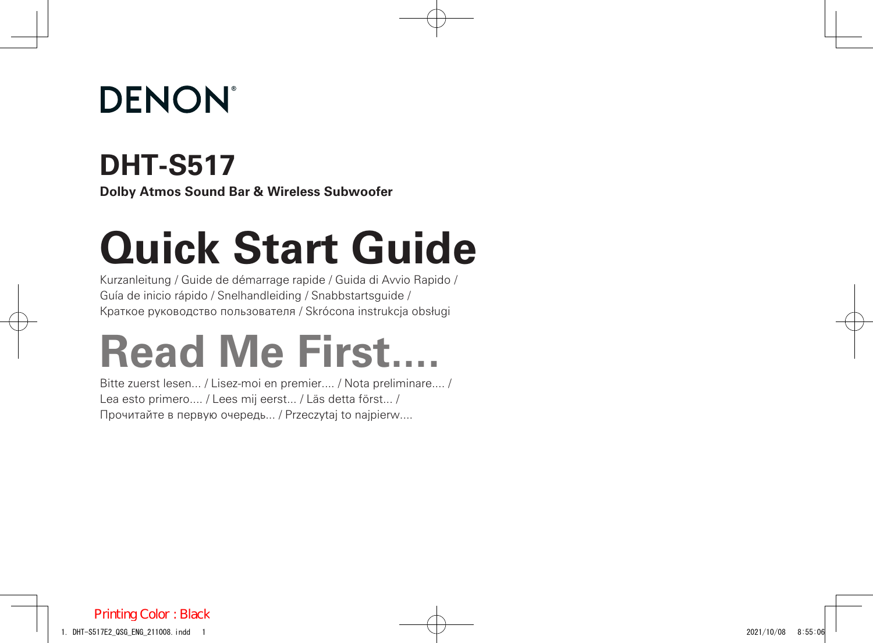## **DENON**

## **DHT-S517**

**Dolby Atmos Sound Bar & Wireless Subwoofer**

# **Quick Start Guide**

Kurzanleitung / Guide de démarrage rapide / Guida di Avvio Rapido / Guía de inicio rápido / Snelhandleiding / Snabbstartsguide / Краткое руководство пользователя / Skrócona instrukcja obsługi

# **Read Me First....**

Bitte zuerst lesen... / Lisez-moi en premier.... / Nota preliminare.... / Lea esto primero.... / Lees mij eerst... / Läs detta först... / Прочитайте в первую очередь... / Przeczytaj to najpierw....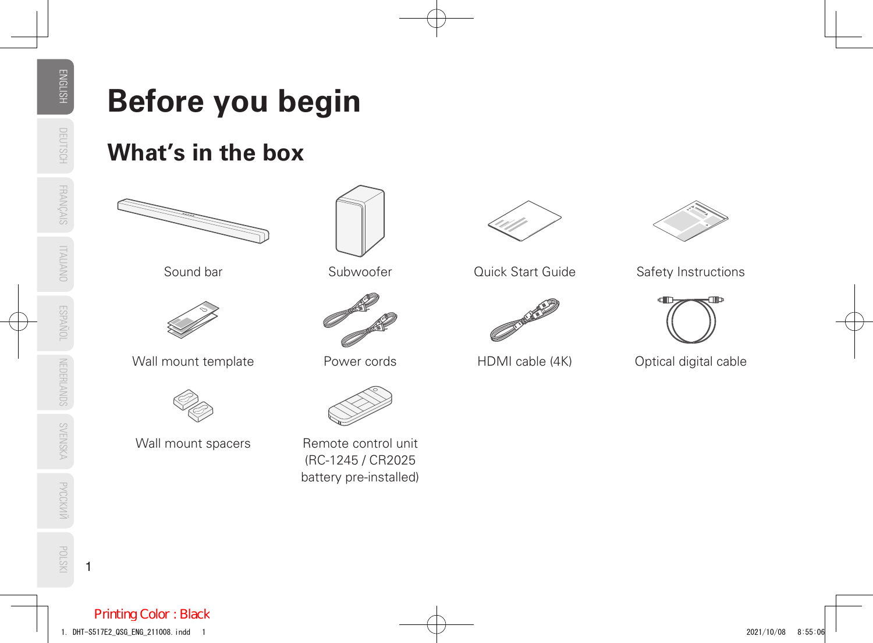DEUTSCH

FRANÇAIS

ESPAÑOL

NEDERLANDS

SVENSKA

## **Before you begin**

### **What's in the box**





Wall mount template **Power cords** HDMI cable (4K) Optical digital cable









Wall mount spacers Remote control unit (RC-1245 / CR2025 battery pre-installed)







Sound bar Subwoofer Quick Start Guide Safety Instructions



1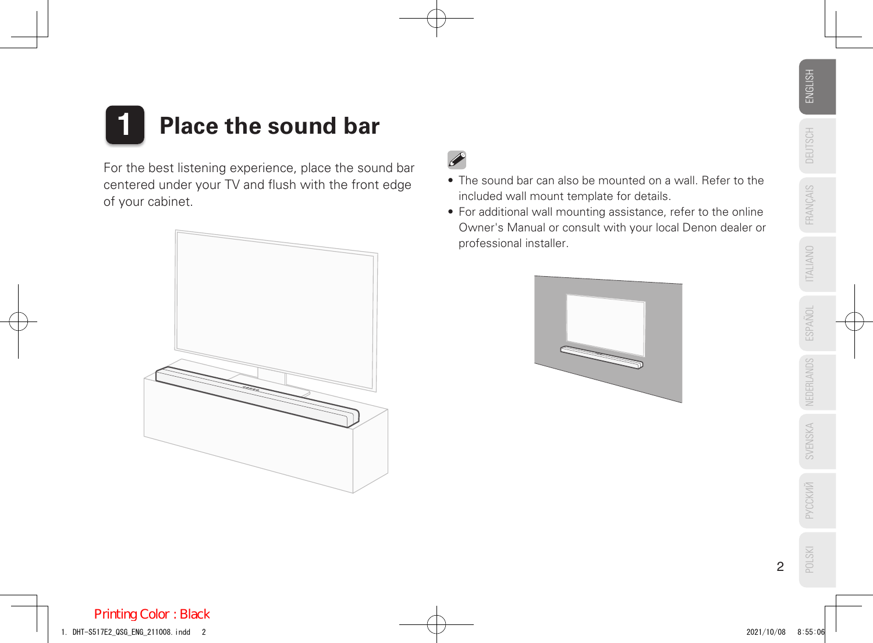# FRANÇAIS

POLSKI

**1 Place the sound bar**

For the best listening experience, place the sound bar centered under your TV and flush with the front edge of your cabinet.



- The sound bar can also be mounted on a wall. Refer to the included wall mount template for details.
- For additional wall mounting assistance, refer to the online Owner's Manual or consult with your local Denon dealer or professional installer.

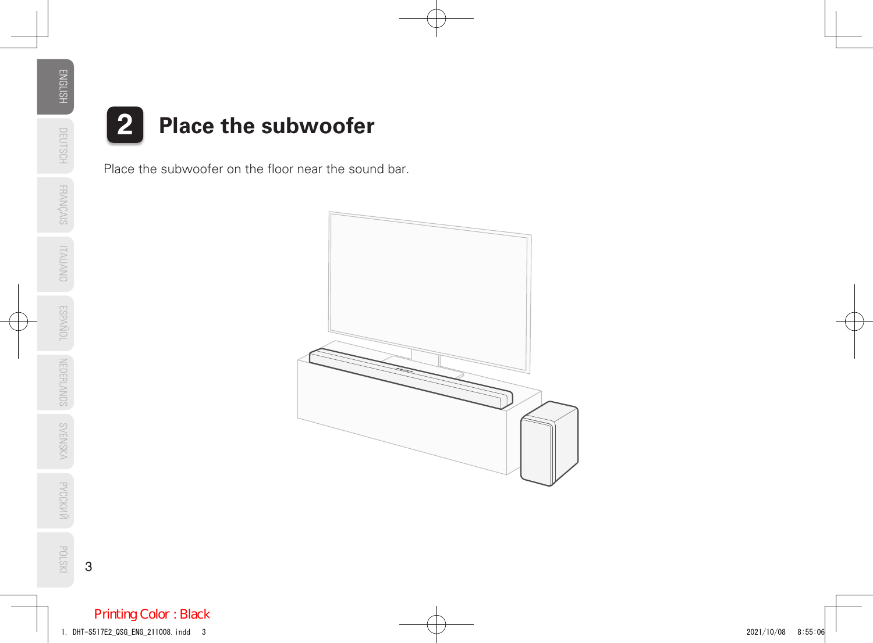## **2 Place the subwoofer**

Place the subwoofer on the floor near the sound bar.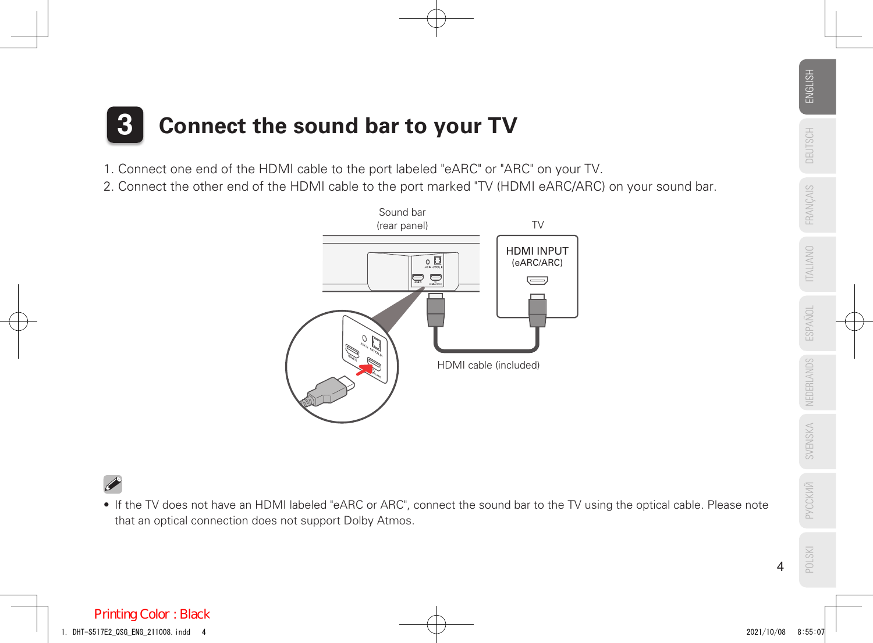## **3 Connect the sound bar to your TV**

1. Connect one end of the HDMI cable to the port labeled "eARC" or "ARC" on your TV.

2. Connect the other end of the HDMI cable to the port marked "TV (HDMI eARC/ARC) on your sound bar.



• If the TV does not have an HDMI labeled "eARC or ARC", connect the sound bar to the TV using the optical cable. Please note that an optical connection does not support Dolby Atmos.

POLSKI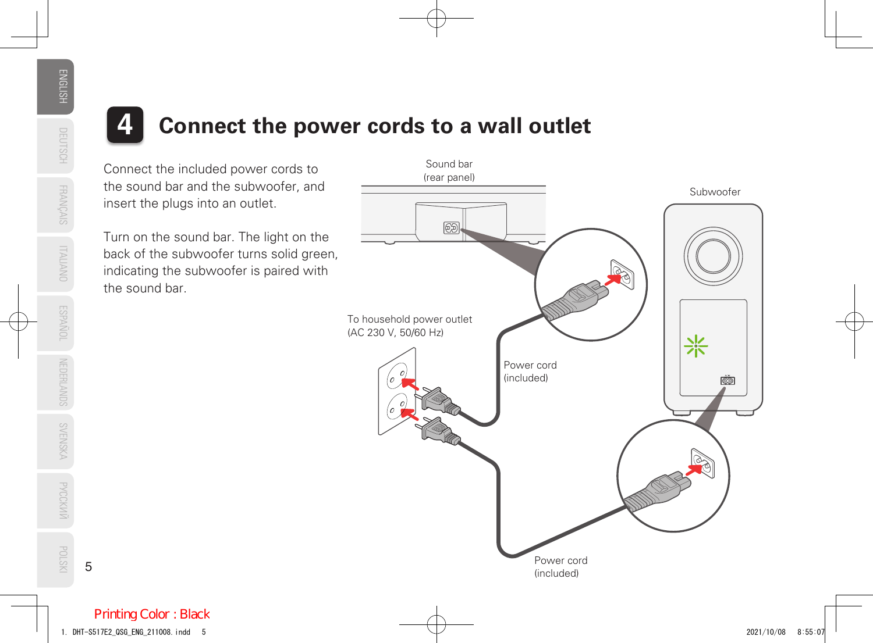## **4 Connect the power cords to a wall outlet**

Connect the included power cords to the sound bar and the subwoofer, and insert the plugs into an outlet.

Turn on the sound bar. The light on the back of the subwoofer turns solid green, indicating the subwoofer is paired with the sound bar.



DEUTSCH

5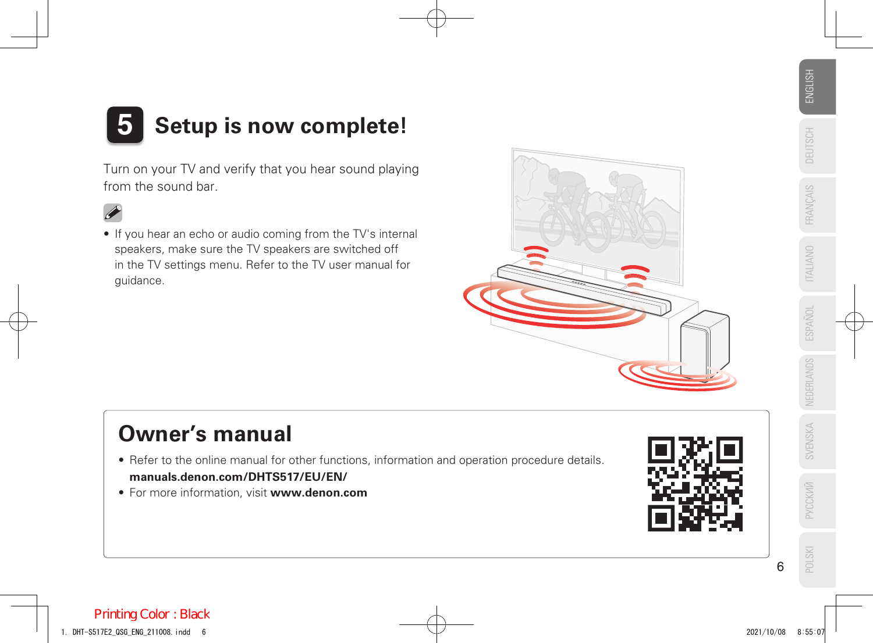6

## **5 Setup is now complete!**

Turn on your TV and verify that you hear sound playing from the sound bar.



• If you hear an echo or audio coming from the TV's internal speakers, make sure the TV speakers are switched off in the TV settings menu. Refer to the TV user manual for guidance.



#### **Owner's manual**

- Refer to the online manual for other functions, information and operation procedure details. **manuals.denon.com/DHTS517/EU/EN/**
- For more information, visit **www.denon.com**

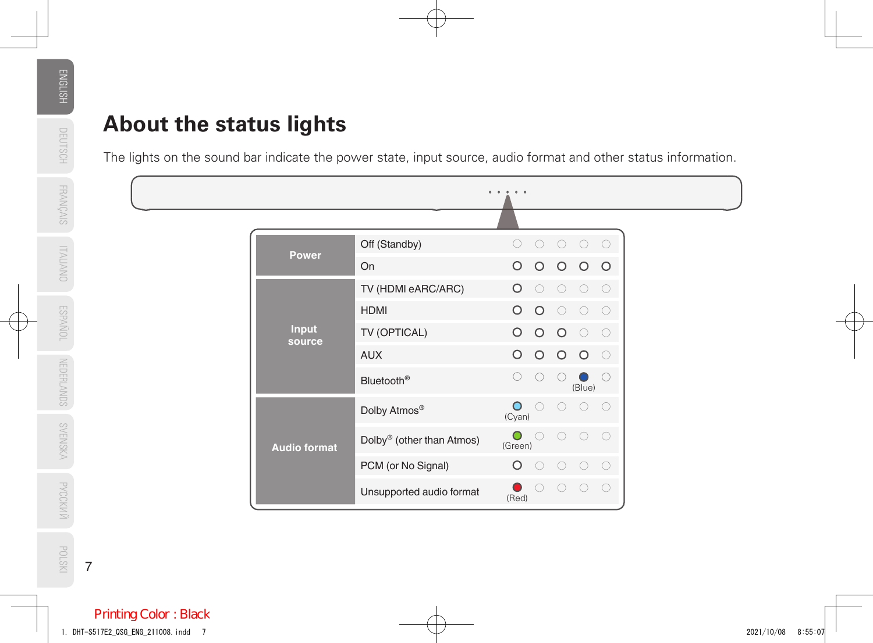### **About the status lights**

The lights on the sound bar indicate the power state, input source, audio format and other status information.

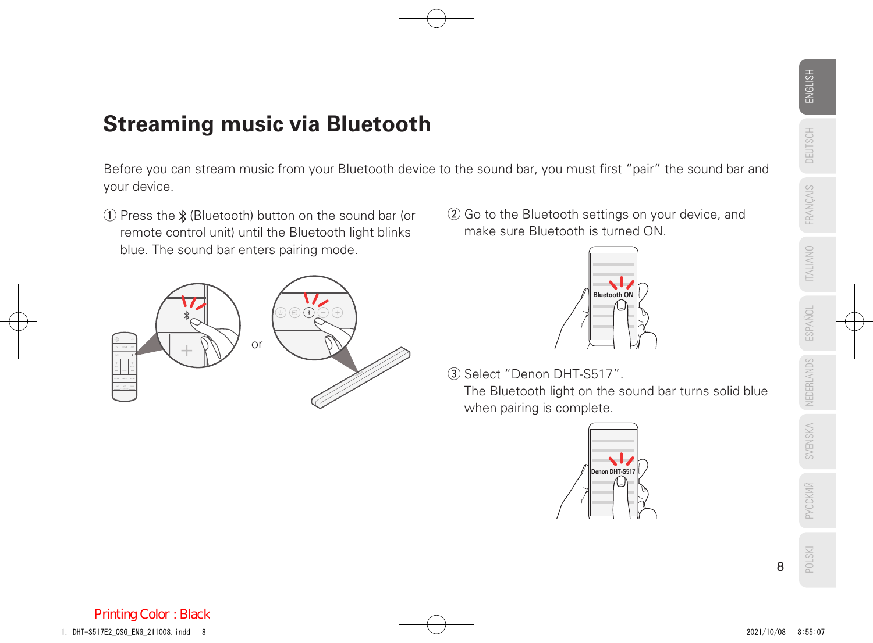#### **Streaming music via Bluetooth**

Before you can stream music from your Bluetooth device to the sound bar, you must first "pair" the sound bar and your device.

 $\Omega$  Press the  $\hat{\mathcal{X}}$  (Bluetooth) button on the sound bar (or remote control unit) until the Bluetooth light blinks blue. The sound bar enters pairing mode.



 $\Omega$  Go to the Bluetooth settings on your device, and make sure Bluetooth is turned ON.



(3) Select "Denon DHT-S517". The Bluetooth light on the sound bar turns solid blue when pairing is complete.

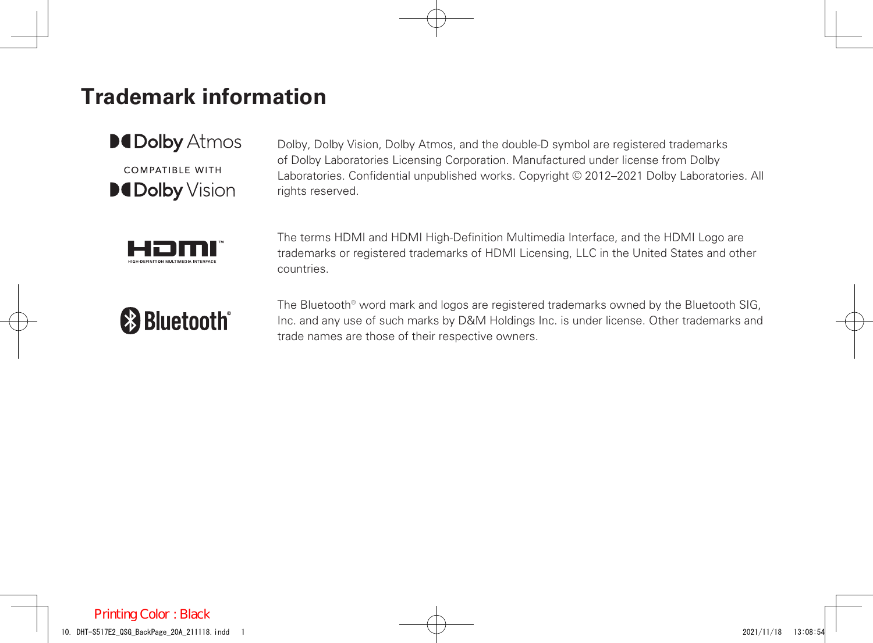#### **Trademark information**



COMPATIBLE WITH **MDolby Vision**  Dolby, Dolby Vision, Dolby Atmos, and the double-D symbol are registered trademarks of Dolby Laboratories Licensing Corporation. Manufactured under license from Dolby Laboratories. Confidential unpublished works. Copyright © 2012–2021 Dolby Laboratories. All rights reserved.



The terms HDMI and HDMI High-Definition Multimedia Interface, and the HDMI Logo are trademarks or registered trademarks of HDMI Licensing, LLC in the United States and other countries.



The Bluetooth® word mark and logos are registered trademarks owned by the Bluetooth SIG, Inc. and any use of such marks by D&M Holdings Inc. is under license. Other trademarks and trade names are those of their respective owners.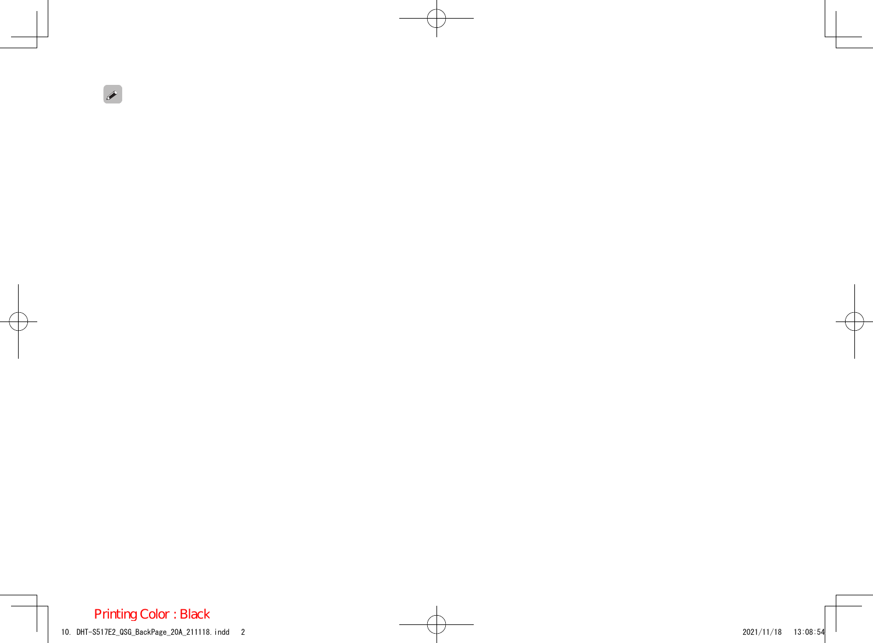$\begin{picture}(20,20)(-20,0) \put(0,0){\line(1,0){10}} \put(15,0){\line(1,0){10}} \put(15,0){\line(1,0){10}} \put(15,0){\line(1,0){10}} \put(15,0){\line(1,0){10}} \put(15,0){\line(1,0){10}} \put(15,0){\line(1,0){10}} \put(15,0){\line(1,0){10}} \put(15,0){\line(1,0){10}} \put(15,0){\line(1,0){10}} \put(15,0){\line(1,0){10}} \put(15,$